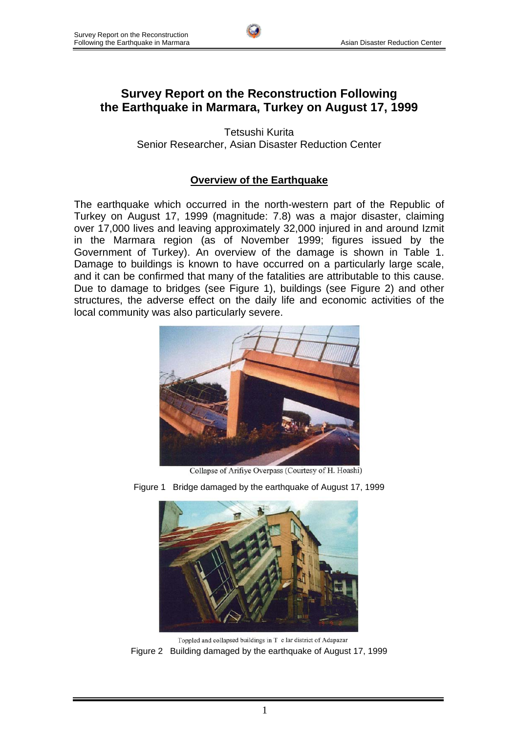

# **Survey Report on the Reconstruction Following the Earthquake in Marmara, Turkey on August 17, 1999**

Tetsushi Kurita Senior Researcher, Asian Disaster Reduction Center

## **Overview of the Earthquake**

The earthquake which occurred in the north-western part of the Republic of Turkey on August 17, 1999 (magnitude: 7.8) was a major disaster, claiming over 17,000 lives and leaving approximately 32,000 injured in and around Izmit in the Marmara region (as of November 1999; figures issued by the Government of Turkey). An overview of the damage is shown in Table 1. Damage to buildings is known to have occurred on a particularly large scale, and it can be confirmed that many of the fatalities are attributable to this cause. Due to damage to bridges (see Figure 1), buildings (see Figure 2) and other structures, the adverse effect on the daily life and economic activities of the local community was also particularly severe.



Collapse of Arifiye Overpass (Courtesy of H. Hoashi)



Figure 1 Bridge damaged by the earthquake of August 17, 1999

Toppled and collapsed buildings in T c lar district of Adapazar Figure 2 Building damaged by the earthquake of August 17, 1999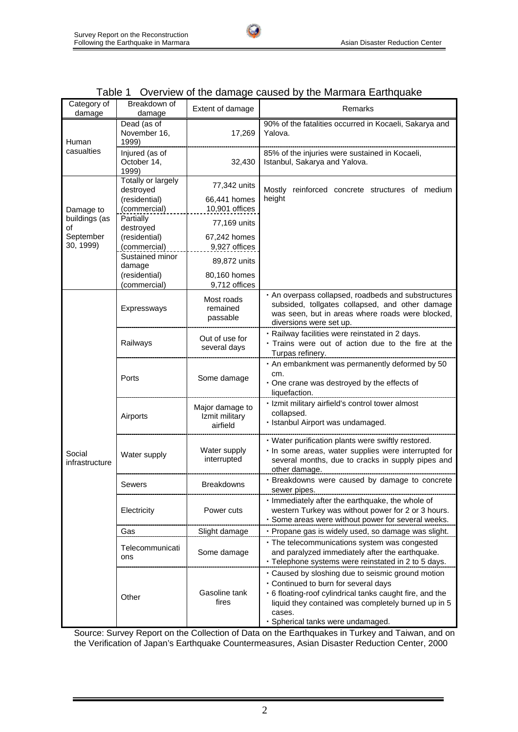

|                                  | Breakdown of                                               |                                               |                                                                                                                                                                                                                                                             |  |  |
|----------------------------------|------------------------------------------------------------|-----------------------------------------------|-------------------------------------------------------------------------------------------------------------------------------------------------------------------------------------------------------------------------------------------------------------|--|--|
| Category of<br>damage            | damage                                                     | Extent of damage                              | Remarks                                                                                                                                                                                                                                                     |  |  |
| Human                            | Dead (as of<br>November 16,<br>1999)                       | 17,269                                        | 90% of the fatalities occurred in Kocaeli, Sakarya and<br>Yalova.                                                                                                                                                                                           |  |  |
| casualties                       | Injured (as of<br>October 14,<br>1999)                     | 32,430                                        | 85% of the injuries were sustained in Kocaeli,<br>Istanbul, Sakarya and Yalova.                                                                                                                                                                             |  |  |
|                                  | Totally or largely<br>destroyed<br>(residential)           | 77,342 units<br>66,441 homes                  | Mostly reinforced concrete structures of medium<br>height                                                                                                                                                                                                   |  |  |
| Damage to<br>buildings (as<br>οf | (commercial)<br>Partially<br>destroyed                     | 10,901 offices<br>77,169 units                |                                                                                                                                                                                                                                                             |  |  |
| September<br>30, 1999)           | (residential)<br>(commercial)                              | 67,242 homes<br>9,927 offices                 |                                                                                                                                                                                                                                                             |  |  |
|                                  | Sustained minor<br>damage<br>(residential)<br>(commercial) | 89,872 units<br>80,160 homes<br>9,712 offices |                                                                                                                                                                                                                                                             |  |  |
|                                  | Expressways                                                | Most roads<br>remained<br>passable            | . An overpass collapsed, roadbeds and substructures<br>subsided, tollgates collapsed, and other damage<br>was seen, but in areas where roads were blocked,<br>diversions were set up.                                                                       |  |  |
| Social<br>infrastructure         | Railways                                                   | Out of use for<br>several days                | · Railway facilities were reinstated in 2 days.<br>· Trains were out of action due to the fire at the<br>Turpas refinery.                                                                                                                                   |  |  |
|                                  | Ports                                                      | Some damage                                   | . An embankment was permanently deformed by 50<br>cm.<br>. One crane was destroyed by the effects of<br>liquefaction.                                                                                                                                       |  |  |
|                                  | Airports                                                   | Major damage to<br>Izmit military<br>airfield | · Izmit military airfield's control tower almost<br>collapsed.<br>· Istanbul Airport was undamaged.                                                                                                                                                         |  |  |
|                                  | Water supply                                               | Water supply<br>interrupted                   | · Water purification plants were swiftly restored.<br>· In some areas, water supplies were interrupted for<br>several months, due to cracks in supply pipes and<br>other damage.                                                                            |  |  |
|                                  | Sewers                                                     | Breakdowns                                    | · Breakdowns were caused by damage to concrete<br>sewer pipes.                                                                                                                                                                                              |  |  |
|                                  | Electricity                                                | Power cuts                                    | · Immediately after the earthquake, the whole of<br>western Turkey was without power for 2 or 3 hours.<br>· Some areas were without power for several weeks.                                                                                                |  |  |
|                                  | Gas                                                        | Slight damage                                 | · Propane gas is widely used, so damage was slight.                                                                                                                                                                                                         |  |  |
|                                  | Telecommunicati<br>ons                                     | Some damage                                   | · The telecommunications system was congested<br>and paralyzed immediately after the earthquake.<br>· Telephone systems were reinstated in 2 to 5 days.                                                                                                     |  |  |
|                                  | Other                                                      | Gasoline tank<br>fires                        | . Caused by sloshing due to seismic ground motion<br>. Continued to burn for several days<br>• 6 floating-roof cylindrical tanks caught fire, and the<br>liquid they contained was completely burned up in 5<br>cases.<br>· Spherical tanks were undamaged. |  |  |

|  |  |  |  |  |  |  | Table 1 Overview of the damage caused by the Marmara Earthquake |
|--|--|--|--|--|--|--|-----------------------------------------------------------------|
|--|--|--|--|--|--|--|-----------------------------------------------------------------|

tи

Source: Survey Report on the Collection of Data on the Earthquakes in Turkey and Taiwan, and on the Verification of Japan's Earthquake Countermeasures, Asian Disaster Reduction Center, 2000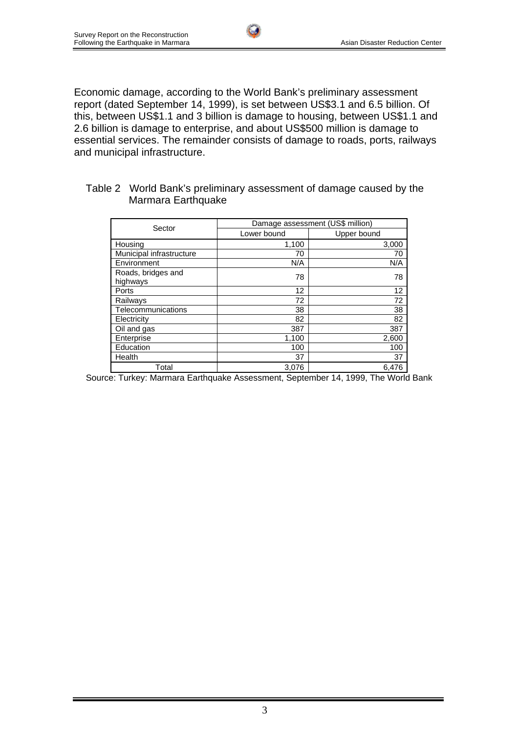Economic damage, according to the World Bank's preliminary assessment report (dated September 14, 1999), is set between US\$3.1 and 6.5 billion. Of this, between US\$1.1 and 3 billion is damage to housing, between US\$1.1 and 2.6 billion is damage to enterprise, and about US\$500 million is damage to essential services. The remainder consists of damage to roads, ports, railways and municipal infrastructure.

| Table 2 World Bank's preliminary assessment of damage caused by the |
|---------------------------------------------------------------------|
| Marmara Earthquake                                                  |

| Sector                         | Damage assessment (US\$ million) |             |  |
|--------------------------------|----------------------------------|-------------|--|
|                                | Lower bound                      | Upper bound |  |
| Housing                        | 1,100                            | 3,000       |  |
| Municipal infrastructure       | 70                               | 70          |  |
| Environment                    | N/A                              | N/A         |  |
| Roads, bridges and<br>highways | 78                               | 78          |  |
| Ports                          | 12                               | 12          |  |
| Railways                       | 72                               | 72          |  |
| Telecommunications             | 38                               | 38          |  |
| Electricity                    | 82                               | 82          |  |
| Oil and gas                    | 387                              | 387         |  |
| Enterprise                     | 1,100                            | 2,600       |  |
| Education                      | 100                              | 100         |  |
| Health                         | 37                               | 37          |  |
| Total                          | 3,076                            | 6.476       |  |

Source: Turkey: Marmara Earthquake Assessment, September 14, 1999, The World Bank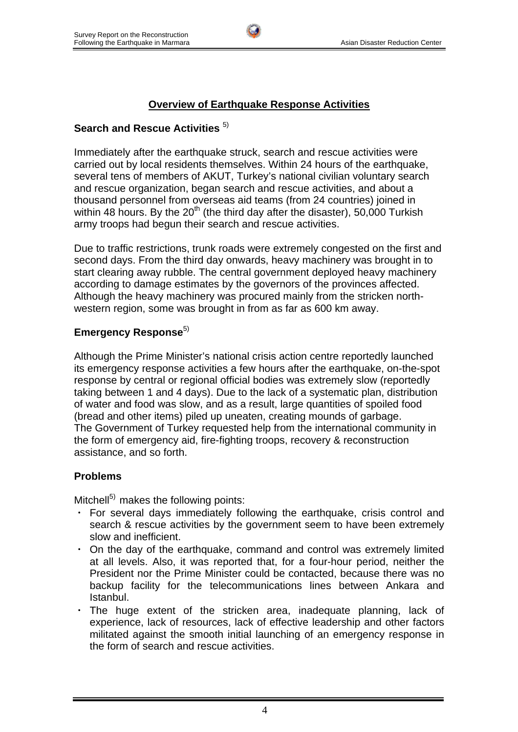# **Overview of Earthquake Response Activities**

## **Search and Rescue Activities**  $5$

Immediately after the earthquake struck, search and rescue activities were carried out by local residents themselves. Within 24 hours of the earthquake, several tens of members of AKUT, Turkey's national civilian voluntary search and rescue organization, began search and rescue activities, and about a thousand personnel from overseas aid teams (from 24 countries) joined in within 48 hours. By the  $20<sup>th</sup>$  (the third day after the disaster), 50,000 Turkish army troops had begun their search and rescue activities.

Due to traffic restrictions, trunk roads were extremely congested on the first and second days. From the third day onwards, heavy machinery was brought in to start clearing away rubble. The central government deployed heavy machinery according to damage estimates by the governors of the provinces affected. Although the heavy machinery was procured mainly from the stricken northwestern region, some was brought in from as far as 600 km away.

## **Emergency Response**<sup>5)</sup>

Although the Prime Minister's national crisis action centre reportedly launched its emergency response activities a few hours after the earthquake, on-the-spot response by central or regional official bodies was extremely slow (reportedly taking between 1 and 4 days). Due to the lack of a systematic plan, distribution of water and food was slow, and as a result, large quantities of spoiled food (bread and other items) piled up uneaten, creating mounds of garbage. The Government of Turkey requested help from the international community in the form of emergency aid, fire-fighting troops, recovery & reconstruction assistance, and so forth.

## **Problems**

Mitchell $^{5)}$  makes the following points:

- ・ For several days immediately following the earthquake, crisis control and search & rescue activities by the government seem to have been extremely slow and inefficient.
- ・ On the day of the earthquake, command and control was extremely limited at all levels. Also, it was reported that, for a four-hour period, neither the President nor the Prime Minister could be contacted, because there was no backup facility for the telecommunications lines between Ankara and Istanbul.
- ・ The huge extent of the stricken area, inadequate planning, lack of experience, lack of resources, lack of effective leadership and other factors militated against the smooth initial launching of an emergency response in the form of search and rescue activities.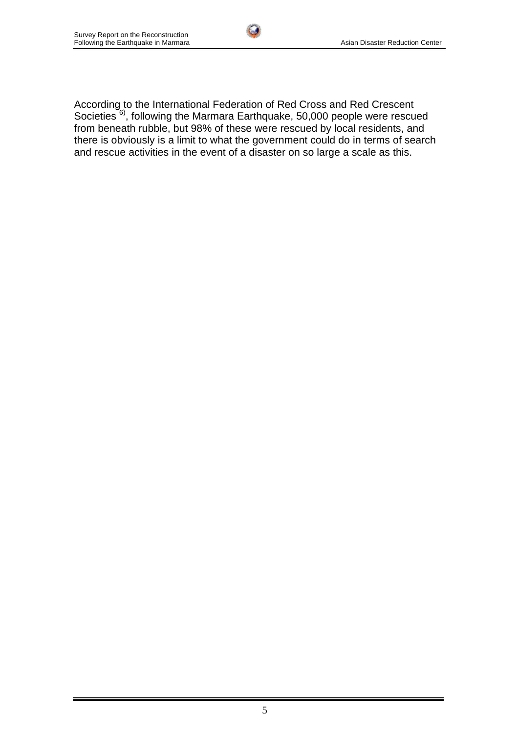According to the International Federation of Red Cross and Red Crescent Societies  $6$ ), following the Marmara Earthquake, 50,000 people were rescued from beneath rubble, but 98% of these were rescued by local residents, and there is obviously is a limit to what the government could do in terms of search and rescue activities in the event of a disaster on so large a scale as this.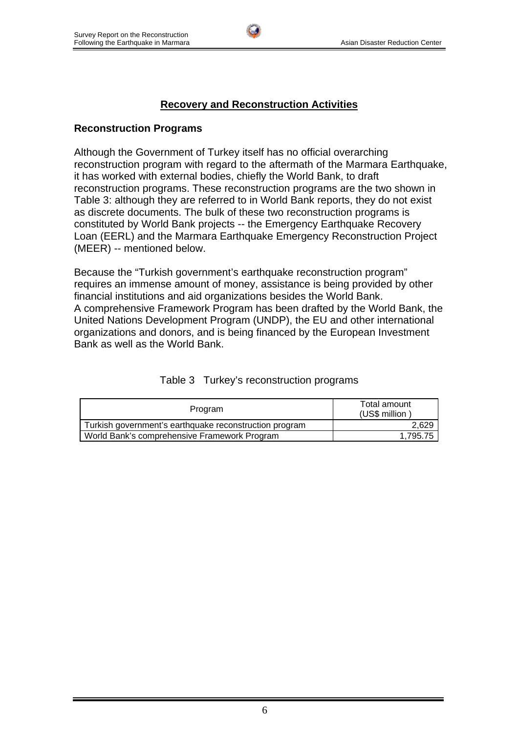### **Recovery and Reconstruction Activities**

#### **Reconstruction Programs**

Although the Government of Turkey itself has no official overarching reconstruction program with regard to the aftermath of the Marmara Earthquake, it has worked with external bodies, chiefly the World Bank, to draft reconstruction programs. These reconstruction programs are the two shown in Table 3: although they are referred to in World Bank reports, they do not exist as discrete documents. The bulk of these two reconstruction programs is constituted by World Bank projects -- the Emergency Earthquake Recovery Loan (EERL) and the Marmara Earthquake Emergency Reconstruction Project (MEER) -- mentioned below.

Because the "Turkish government's earthquake reconstruction program" requires an immense amount of money, assistance is being provided by other financial institutions and aid organizations besides the World Bank. A comprehensive Framework Program has been drafted by the World Bank, the United Nations Development Program (UNDP), the EU and other international organizations and donors, and is being financed by the European Investment Bank as well as the World Bank.

| Program                                                | Total amount<br>(US\$ million |  |
|--------------------------------------------------------|-------------------------------|--|
| Turkish government's earthquake reconstruction program | 2,629                         |  |
| World Bank's comprehensive Framework Program           | 1,795.75                      |  |

| Table 3 Turkey's reconstruction programs |
|------------------------------------------|
|                                          |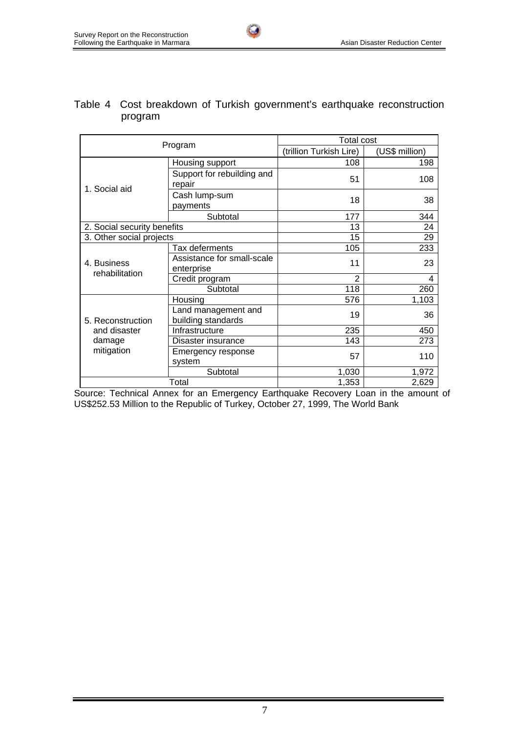| Program                     |                                           | <b>Total cost</b>       |                |  |
|-----------------------------|-------------------------------------------|-------------------------|----------------|--|
|                             |                                           | (trillion Turkish Lire) | (US\$ million) |  |
|                             | Housing support                           | 108                     | 198            |  |
| 1. Social aid               | Support for rebuilding and<br>repair      | 51                      | 108            |  |
|                             | Cash lump-sum<br>payments                 | 18                      | 38             |  |
|                             | Subtotal                                  | 177                     | 344            |  |
| 2. Social security benefits |                                           | 13                      | 24             |  |
| 3. Other social projects    |                                           | 15                      | 29             |  |
|                             | Tax deferments                            | 105                     | 233            |  |
| 4. Business                 | Assistance for small-scale<br>enterprise  | 11                      | 23             |  |
| rehabilitation              | Credit program                            | $\overline{2}$          | 4              |  |
|                             | Subtotal                                  | 118                     | 260            |  |
|                             | Housing                                   | 576                     | 1,103          |  |
| 5. Reconstruction           | Land management and<br>building standards | 19                      | 36             |  |
| and disaster                | Infrastructure                            | 235                     | 450            |  |
| damage                      | Disaster insurance                        | 143                     | 273            |  |
| mitigation                  | Emergency response<br>system              | 57                      | 110            |  |
|                             | Subtotal                                  | 1,030                   | 1,972          |  |
| Total                       |                                           | 1,353                   | 2,629          |  |

#### Table 4 Cost breakdown of Turkish government's earthquake reconstruction program

**Col** 

Source: Technical Annex for an Emergency Earthquake Recovery Loan in the amount of US\$252.53 Million to the Republic of Turkey, October 27, 1999, The World Bank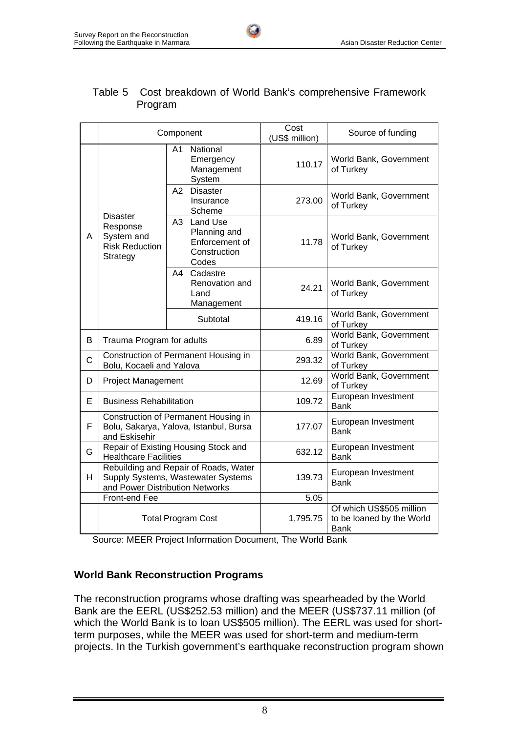| Table 5 Cost breakdown of World Bank's comprehensive Framework |
|----------------------------------------------------------------|
| Program                                                        |

**Cult** 

|             |                                                                                                                | Component                                                              | Cost<br>(US\$ million) | Source of funding                                                    |
|-------------|----------------------------------------------------------------------------------------------------------------|------------------------------------------------------------------------|------------------------|----------------------------------------------------------------------|
|             | <b>Disaster</b><br>Response<br>System and<br>A<br><b>Risk Reduction</b><br>Strategy                            | National<br>A <sub>1</sub><br>Emergency<br>Management<br>System        | 110.17                 | World Bank, Government<br>of Turkey                                  |
|             |                                                                                                                | A2 Disaster<br>Insurance<br>Scheme                                     | 273.00                 | World Bank, Government<br>of Turkey                                  |
|             |                                                                                                                | A3 Land Use<br>Planning and<br>Enforcement of<br>Construction<br>Codes | 11.78                  | World Bank, Government<br>of Turkey                                  |
|             |                                                                                                                | A4 Cadastre<br>Renovation and<br>Land<br>Management                    | 24.21                  | World Bank, Government<br>of Turkey                                  |
|             |                                                                                                                | Subtotal                                                               | 419.16                 | World Bank, Government<br>of Turkey                                  |
| B           | Trauma Program for adults                                                                                      |                                                                        | 6.89                   | World Bank, Government<br>of Turkey                                  |
| $\mathsf C$ | Construction of Permanent Housing in<br>Bolu, Kocaeli and Yalova                                               |                                                                        | 293.32                 | World Bank, Government<br>of Turkey                                  |
| D           | <b>Project Management</b>                                                                                      |                                                                        | 12.69                  | World Bank, Government<br>of Turkey                                  |
| E           | <b>Business Rehabilitation</b>                                                                                 |                                                                        | 109.72                 | European Investment<br><b>Bank</b>                                   |
| F           | Construction of Permanent Housing in<br>Bolu, Sakarya, Yalova, Istanbul, Bursa<br>and Eskisehir                |                                                                        | 177.07                 | European Investment<br><b>Bank</b>                                   |
| G           | Repair of Existing Housing Stock and<br><b>Healthcare Facilities</b>                                           |                                                                        | 632.12                 | European Investment<br><b>Bank</b>                                   |
| H           | Rebuilding and Repair of Roads, Water<br>Supply Systems, Wastewater Systems<br>and Power Distribution Networks |                                                                        | 139.73                 | European Investment<br><b>Bank</b>                                   |
|             | Front-end Fee                                                                                                  |                                                                        | 5.05                   |                                                                      |
|             | <b>Total Program Cost</b>                                                                                      |                                                                        | 1,795.75               | Of which US\$505 million<br>to be loaned by the World<br><b>Bank</b> |

Source: MEER Project Information Document, The World Bank

#### **World Bank Reconstruction Programs**

The reconstruction programs whose drafting was spearheaded by the World Bank are the EERL (US\$252.53 million) and the MEER (US\$737.11 million (of which the World Bank is to loan US\$505 million). The EERL was used for shortterm purposes, while the MEER was used for short-term and medium-term projects. In the Turkish government's earthquake reconstruction program shown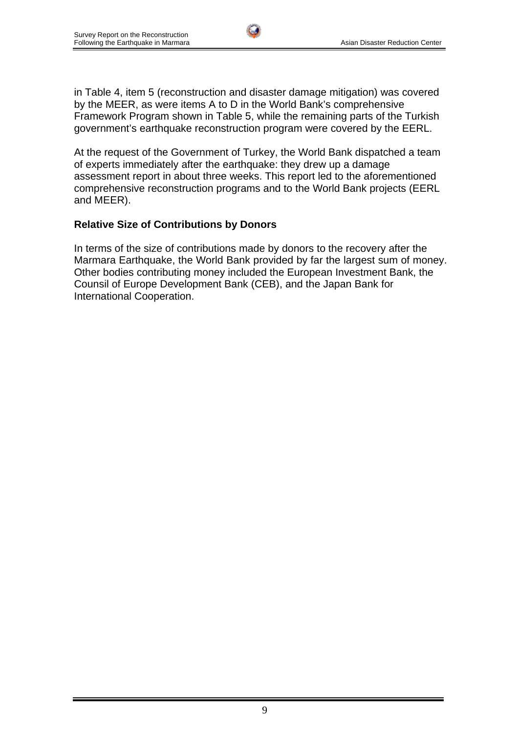in Table 4, item 5 (reconstruction and disaster damage mitigation) was covered by the MEER, as were items A to D in the World Bank's comprehensive Framework Program shown in Table 5, while the remaining parts of the Turkish government's earthquake reconstruction program were covered by the EERL.

At the request of the Government of Turkey, the World Bank dispatched a team of experts immediately after the earthquake: they drew up a damage assessment report in about three weeks. This report led to the aforementioned comprehensive reconstruction programs and to the World Bank projects (EERL and MEER).

## **Relative Size of Contributions by Donors**

In terms of the size of contributions made by donors to the recovery after the Marmara Earthquake, the World Bank provided by far the largest sum of money. Other bodies contributing money included the European Investment Bank, the Counsil of Europe Development Bank (CEB), and the Japan Bank for International Cooperation.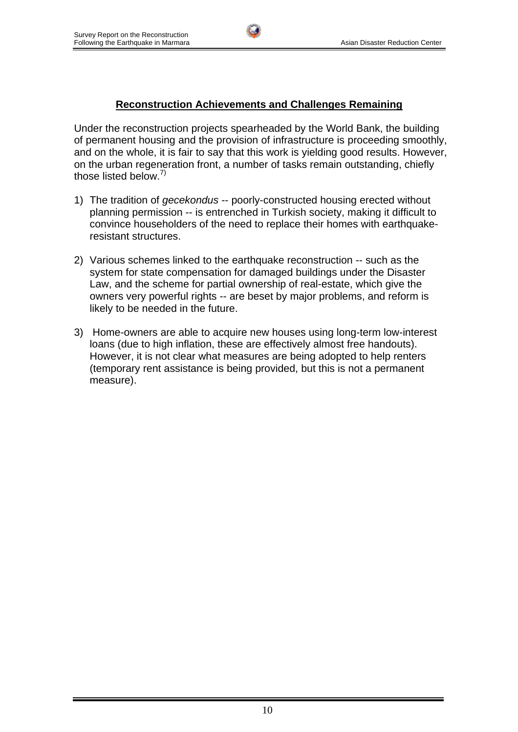## **Reconstruction Achievements and Challenges Remaining**

Under the reconstruction projects spearheaded by the World Bank, the building of permanent housing and the provision of infrastructure is proceeding smoothly, and on the whole, it is fair to say that this work is yielding good results. However, on the urban regeneration front, a number of tasks remain outstanding, chiefly those listed below.<sup>7)</sup>

- 1) The tradition of *gecekondus* -- poorly-constructed housing erected without planning permission -- is entrenched in Turkish society, making it difficult to convince householders of the need to replace their homes with earthquakeresistant structures.
- 2) Various schemes linked to the earthquake reconstruction -- such as the system for state compensation for damaged buildings under the Disaster Law, and the scheme for partial ownership of real-estate, which give the owners very powerful rights -- are beset by major problems, and reform is likely to be needed in the future.
- 3) Home-owners are able to acquire new houses using long-term low-interest loans (due to high inflation, these are effectively almost free handouts). However, it is not clear what measures are being adopted to help renters (temporary rent assistance is being provided, but this is not a permanent measure).

10